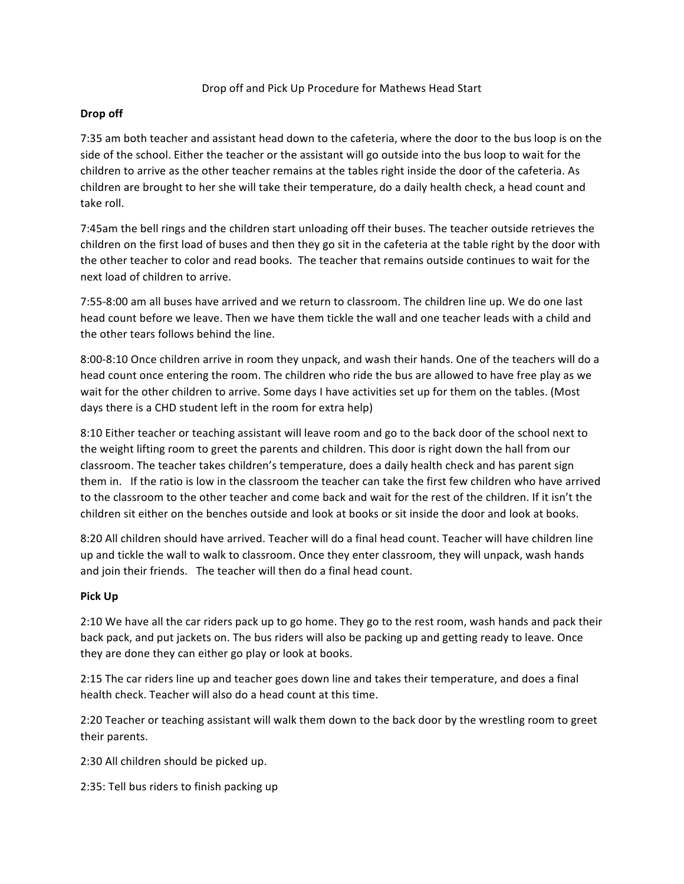## Drop off and Pick Up Procedure for Mathews Head Start

## **Drop off**

7:35 am both teacher and assistant head down to the cafeteria, where the door to the bus loop is on the side of the school. Either the teacher or the assistant will go outside into the bus loop to wait for the children to arrive as the other teacher remains at the tables right inside the door of the cafeteria. As children are brought to her she will take their temperature, do a daily health check, a head count and take roll.

7:45am the bell rings and the children start unloading off their buses. The teacher outside retrieves the children on the first load of buses and then they go sit in the cafeteria at the table right by the door with the other teacher to color and read books. The teacher that remains outside continues to wait for the next load of children to arrive.

7:55-8:00 am all buses have arrived and we return to classroom. The children line up. We do one last head count before we leave. Then we have them tickle the wall and one teacher leads with a child and the other tears follows behind the line.

8:00-8:10 Once children arrive in room they unpack, and wash their hands. One of the teachers will do a head count once entering the room. The children who ride the bus are allowed to have free play as we wait for the other children to arrive. Some days I have activities set up for them on the tables. (Most days there is a CHD student left in the room for extra help)

8:10 Either teacher or teaching assistant will leave room and go to the back door of the school next to the weight lifting room to greet the parents and children. This door is right down the hall from our classroom. The teacher takes children's temperature, does a daily health check and has parent sign them in. If the ratio is low in the classroom the teacher can take the first few children who have arrived to the classroom to the other teacher and come back and wait for the rest of the children. If it isn't the children sit either on the benches outside and look at books or sit inside the door and look at books.

8:20 All children should have arrived. Teacher will do a final head count. Teacher will have children line up and tickle the wall to walk to classroom. Once they enter classroom, they will unpack, wash hands and join their friends. The teacher will then do a final head count.

## **Pick Up**

2:10 We have all the car riders pack up to go home. They go to the rest room, wash hands and pack their back pack, and put jackets on. The bus riders will also be packing up and getting ready to leave. Once they are done they can either go play or look at books.

2:15 The car riders line up and teacher goes down line and takes their temperature, and does a final health check. Teacher will also do a head count at this time.

2:20 Teacher or teaching assistant will walk them down to the back door by the wrestling room to greet their parents.

2:30 All children should be picked up.

2:35: Tell bus riders to finish packing up